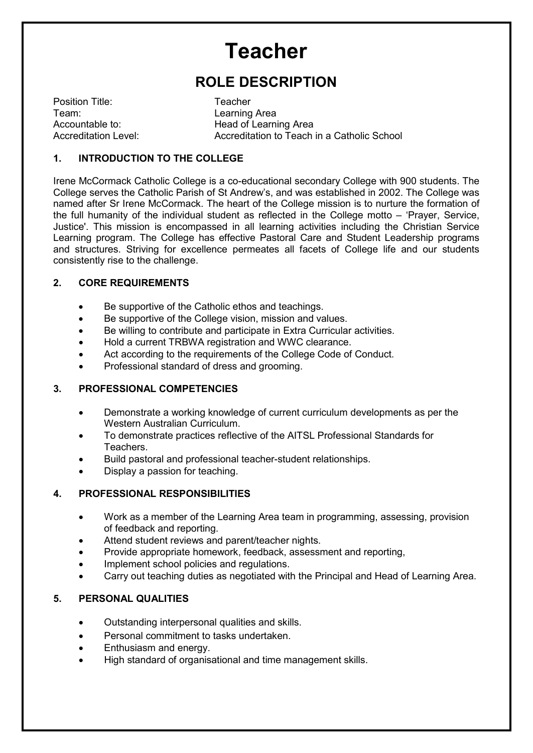# **Teacher**

# **ROLE DESCRIPTION**

Position Title: Teacher Team: Learning Area

Accountable to: Head of Learning Area Accreditation Level: Accreditation to Teach in a Catholic School

#### **1. INTRODUCTION TO THE COLLEGE**

Irene McCormack Catholic College is a co-educational secondary College with 900 students. The College serves the Catholic Parish of St Andrew's, and was established in 2002. The College was named after Sr Irene McCormack. The heart of the College mission is to nurture the formation of the full humanity of the individual student as reflected in the College motto – 'Prayer, Service, Justice'. This mission is encompassed in all learning activities including the Christian Service Learning program. The College has effective Pastoral Care and Student Leadership programs and structures. Striving for excellence permeates all facets of College life and our students consistently rise to the challenge.

#### **2. CORE REQUIREMENTS**

- Be supportive of the Catholic ethos and teachings.
- Be supportive of the College vision, mission and values.
- Be willing to contribute and participate in Extra Curricular activities.
- Hold a current TRBWA registration and WWC clearance.
- Act according to the requirements of the College Code of Conduct.
- Professional standard of dress and grooming.

# **3. PROFESSIONAL COMPETENCIES**

- Demonstrate a working knowledge of current curriculum developments as per the Western Australian Curriculum.
- To demonstrate practices reflective of the AITSL Professional Standards for Teachers.
- Build pastoral and professional teacher-student relationships.
- Display a passion for teaching.

# **4. PROFESSIONAL RESPONSIBILITIES**

- Work as a member of the Learning Area team in programming, assessing, provision of feedback and reporting.
- Attend student reviews and parent/teacher nights.
- Provide appropriate homework, feedback, assessment and reporting,
- Implement school policies and regulations.
- Carry out teaching duties as negotiated with the Principal and Head of Learning Area.

# **5. PERSONAL QUALITIES**

- Outstanding interpersonal qualities and skills.
- Personal commitment to tasks undertaken.
- Enthusiasm and energy.
- High standard of organisational and time management skills.